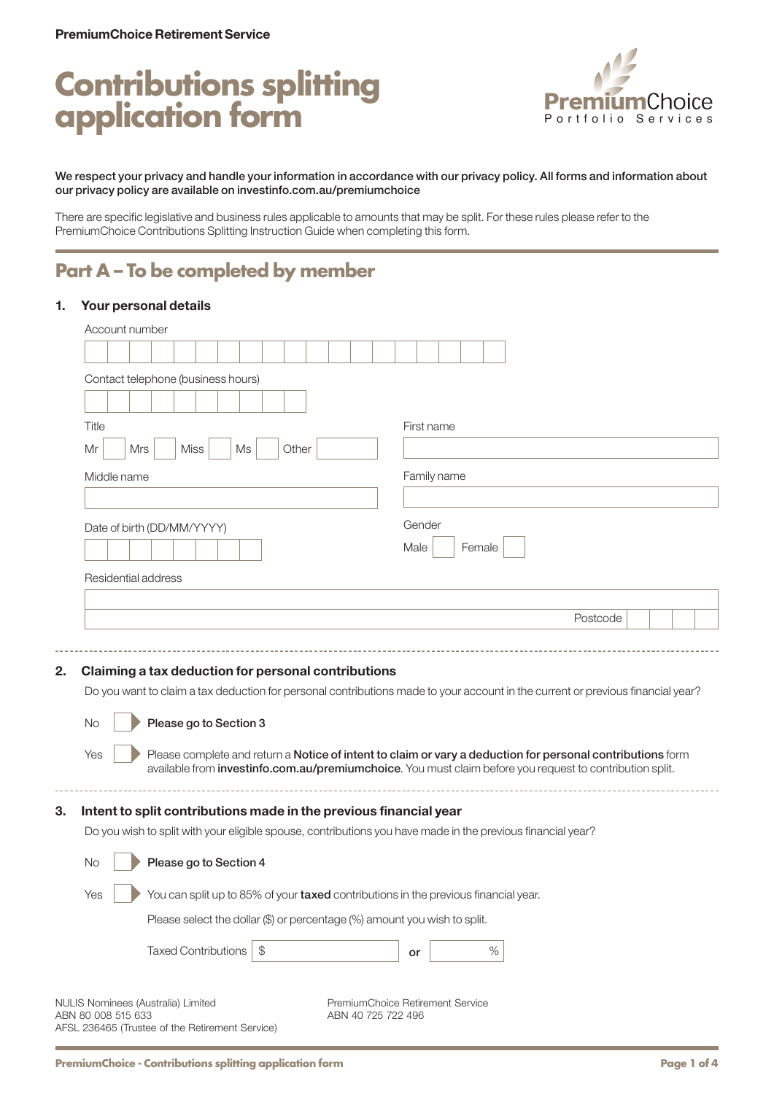# **Contributions splitting application form**



#### We respect your privacy and handle your information in accordance with our privacy policy. All forms and information about our privacy policy are available on [investinfo.com.au/premiumchoice](http://investinfo.com.au/premiumchoice)

There are specific legislative and business rules applicable to amounts that may be split. For these rules please refer to the PremiumChoice Contributions Splitting Instruction Guide when completing this form.

# **Part A – To be completed by member**

## 1. Your personal details

| Contact telephone (business hours)                                                                                                                                                     |     |             |                            |       |       |                                                                                                                                                                                                                        |      |             |        |      |  |          |  |  |
|----------------------------------------------------------------------------------------------------------------------------------------------------------------------------------------|-----|-------------|----------------------------|-------|-------|------------------------------------------------------------------------------------------------------------------------------------------------------------------------------------------------------------------------|------|-------------|--------|------|--|----------|--|--|
|                                                                                                                                                                                        |     |             |                            |       |       |                                                                                                                                                                                                                        |      |             |        |      |  |          |  |  |
| Title                                                                                                                                                                                  |     |             |                            |       |       |                                                                                                                                                                                                                        |      | First name  |        |      |  |          |  |  |
| Mr                                                                                                                                                                                     | Mrs | <b>Miss</b> | Ms                         |       | Other |                                                                                                                                                                                                                        |      |             |        |      |  |          |  |  |
| Middle name                                                                                                                                                                            |     |             |                            |       |       |                                                                                                                                                                                                                        |      | Family name |        |      |  |          |  |  |
|                                                                                                                                                                                        |     |             |                            |       |       |                                                                                                                                                                                                                        |      |             |        |      |  |          |  |  |
| Date of birth (DD/MM/YYYY)                                                                                                                                                             |     |             |                            |       |       |                                                                                                                                                                                                                        |      | Gender      |        |      |  |          |  |  |
|                                                                                                                                                                                        |     |             |                            |       |       |                                                                                                                                                                                                                        | Male |             | Female |      |  |          |  |  |
|                                                                                                                                                                                        |     |             |                            |       |       |                                                                                                                                                                                                                        |      |             |        |      |  |          |  |  |
| Residential address                                                                                                                                                                    |     |             |                            |       |       |                                                                                                                                                                                                                        |      |             |        |      |  |          |  |  |
|                                                                                                                                                                                        |     |             |                            |       |       |                                                                                                                                                                                                                        |      |             |        |      |  | Postcode |  |  |
|                                                                                                                                                                                        |     |             |                            |       |       |                                                                                                                                                                                                                        |      |             |        |      |  |          |  |  |
| Claiming a tax deduction for personal contributions<br>Do you want to claim a tax deduction for personal contributions made to your account in the current or previous financial year? |     |             |                            |       |       |                                                                                                                                                                                                                        |      |             |        |      |  |          |  |  |
| <b>No</b>                                                                                                                                                                              |     |             | Please go to Section 3     |       |       |                                                                                                                                                                                                                        |      |             |        |      |  |          |  |  |
| Yes                                                                                                                                                                                    |     |             |                            |       |       | Please complete and return a Notice of intent to claim or vary a deduction for personal contributions form<br>available from investinfo.com.au/premiumchoice. You must claim before you request to contribution split. |      |             |        |      |  |          |  |  |
| Intent to split contributions made in the previous financial year                                                                                                                      |     |             |                            |       |       |                                                                                                                                                                                                                        |      |             |        |      |  |          |  |  |
| Do you wish to split with your eligible spouse, contributions you have made in the previous financial year?                                                                            |     |             |                            |       |       |                                                                                                                                                                                                                        |      |             |        |      |  |          |  |  |
| No                                                                                                                                                                                     |     |             | Please go to Section 4     |       |       |                                                                                                                                                                                                                        |      |             |        |      |  |          |  |  |
| Yes                                                                                                                                                                                    |     |             |                            |       |       | You can split up to 85% of your taxed contributions in the previous financial year.                                                                                                                                    |      |             |        |      |  |          |  |  |
|                                                                                                                                                                                        |     |             |                            |       |       | Please select the dollar (\$) or percentage (%) amount you wish to split.                                                                                                                                              |      |             |        |      |  |          |  |  |
|                                                                                                                                                                                        |     |             | <b>Taxed Contributions</b> | $\$\$ |       |                                                                                                                                                                                                                        | or   |             |        | $\%$ |  |          |  |  |
|                                                                                                                                                                                        |     |             |                            |       |       |                                                                                                                                                                                                                        |      |             |        |      |  |          |  |  |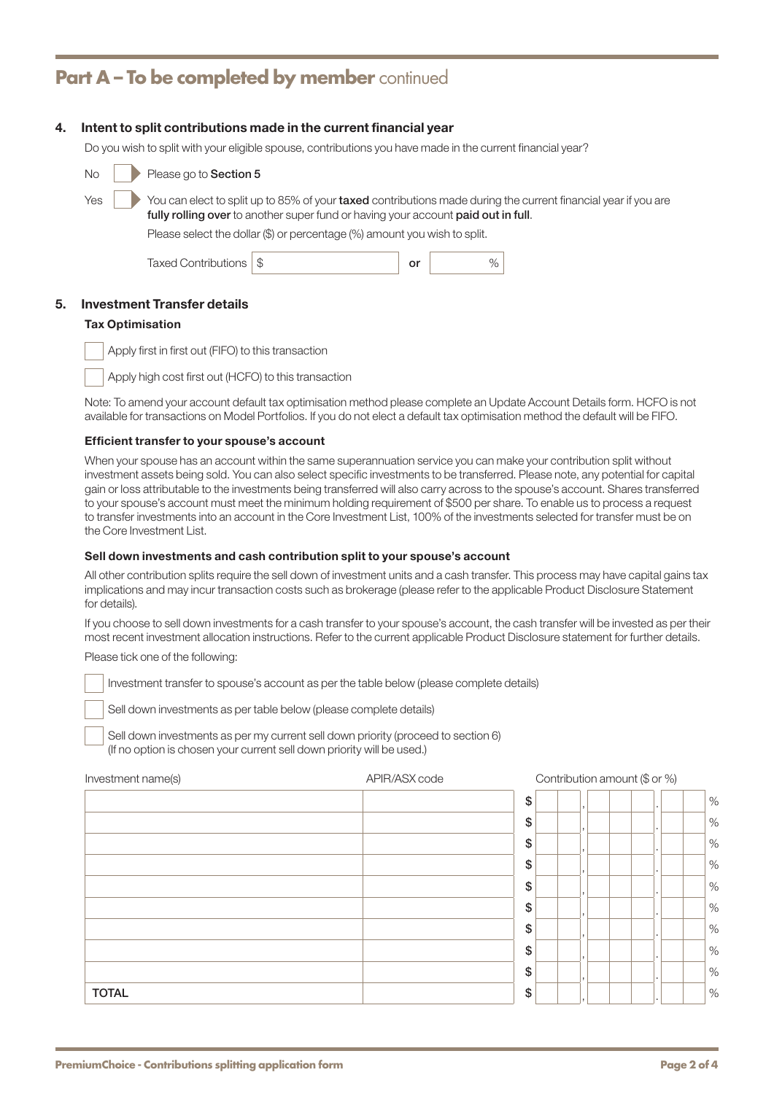# **Part A - To be completed by member** continued

## 4. Intent to split contributions made in the current financial year

Do you wish to split with your eligible spouse, contributions you have made in the current financial year?

| No  | Please go to Section 5 |                                                                                                                                                                |    |                                                                                                                |
|-----|------------------------|----------------------------------------------------------------------------------------------------------------------------------------------------------------|----|----------------------------------------------------------------------------------------------------------------|
| Yes |                        | fully rolling over to another super fund or having your account paid out in full.<br>Please select the dollar (\$) or percentage (%) amount you wish to split. |    | You can elect to split up to 85% of your taxed contributions made during the current financial year if you are |
|     | Taxed Contributions    |                                                                                                                                                                | or | $\%$                                                                                                           |

## 5. Investment Transfer details

#### Tax Optimisation

Apply first in first out (FIFO) to this transaction

Apply high cost first out (HCFO) to this transaction

Note: To amend your account default tax optimisation method please complete an Update Account Details form. HCFO is not available for transactions on Model Portfolios. If you do not elect a default tax optimisation method the default will be FIFO.

#### Efficient transfer to your spouse's account

When your spouse has an account within the same superannuation service you can make your contribution split without investment assets being sold. You can also select specific investments to be transferred. Please note, any potential for capital gain or loss attributable to the investments being transferred will also carry across to the spouse's account. Shares transferred to your spouse's account must meet the minimum holding requirement of \$500 per share. To enable us to process a request to transfer investments into an account in the Core Investment List, 100% of the investments selected for transfer must be on the Core Investment List.

#### Sell down investments and cash contribution split to your spouse's account

All other contribution splits require the sell down of investment units and a cash transfer. This process may have capital gains tax implications and may incur transaction costs such as brokerage (please refer to the applicable Product Disclosure Statement for details).

If you choose to sell down investments for a cash transfer to your spouse's account, the cash transfer will be invested as per their most recent investment allocation instructions. Refer to the current applicable Product Disclosure statement for further details.

Please tick one of the following:

Investment transfer to spouse's account as per the table below (please complete details)

Sell down investments as per table below (please complete details)

Sell down investments as per my current sell down priority (proceed to section 6) (If no option is chosen your current sell down priority will be used.)

|              | \$   |         | $\frac{1}{2}$ |
|--------------|------|---------|---------------|
|              | \$   | . .     | $\%$          |
|              | $\$$ | . .     | $\frac{1}{2}$ |
|              | $\$$ |         | $\%$          |
|              | \$   | . .     | $\%$          |
|              | \$   | . .     | $\frac{1}{2}$ |
|              | \$   |         | $\%$          |
|              | \$   | . .     | $\%$          |
|              | \$   | $\cdot$ | $\%$          |
| <b>TOTAL</b> | \$   |         | $\%$          |

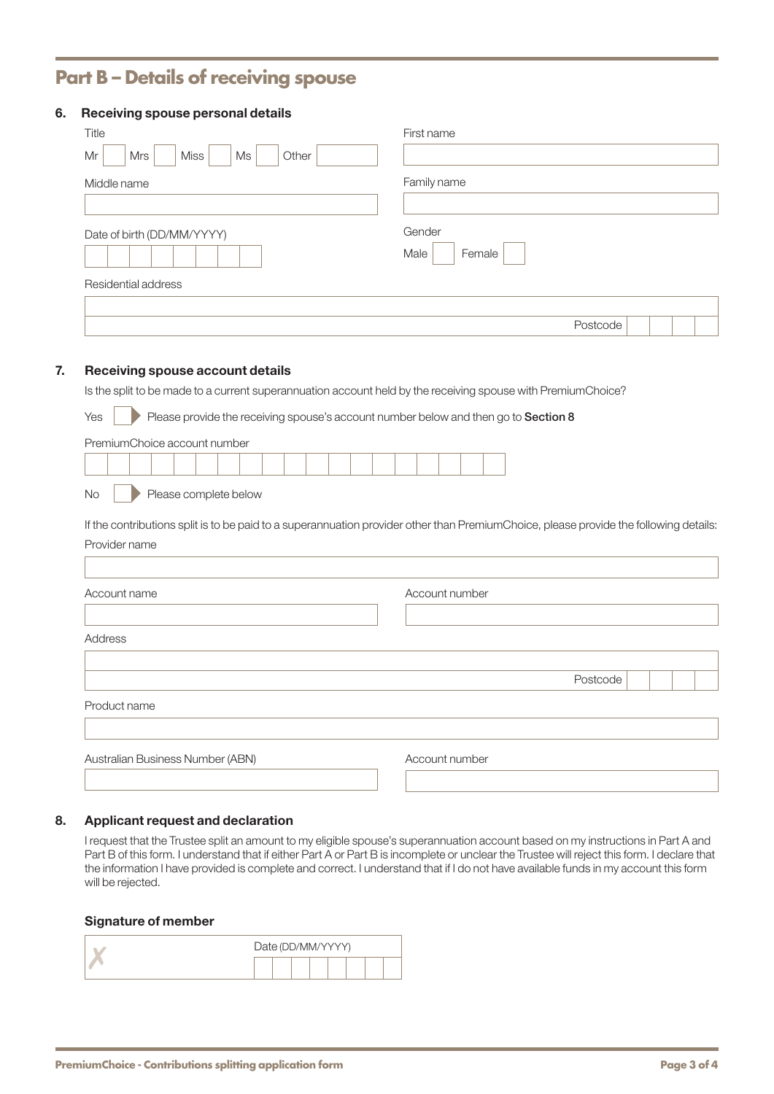# **Part B – Details of receiving spouse**

# 6. Receiving spouse personal details

| Title                            | First name               |
|----------------------------------|--------------------------|
| Mr<br>Mrs<br>Miss<br>Ms<br>Other |                          |
| Middle name                      | Family name              |
|                                  |                          |
| Date of birth (DD/MM/YYYY)       | Gender<br>Female<br>Male |
| Residential address              |                          |
|                                  |                          |
|                                  | Postcode                 |

# 7. Receiving spouse account details

Is the split to be made to a current superannuation account held by the receiving spouse with PremiumChoice?

| Yes |  | Please provide the receiving spouse's account number below and then go to <b>Section 8</b> |  |
|-----|--|--------------------------------------------------------------------------------------------|--|
|-----|--|--------------------------------------------------------------------------------------------|--|

| PremiumChoice account number |  |
|------------------------------|--|
|------------------------------|--|

|  |  |  |  |  |  |  |  | the contract of the contract of the contract of the contract of the contract of the contract of the contract of |  |
|--|--|--|--|--|--|--|--|-----------------------------------------------------------------------------------------------------------------|--|

No **Please complete below** 

If the contributions split is to be paid to a superannuation provider other than PremiumChoice, please provide the following details: Provider name

| Account name                     | Account number |          |
|----------------------------------|----------------|----------|
| Address                          |                |          |
|                                  |                | Postcode |
| Product name                     |                |          |
| Australian Business Number (ABN) | Account number |          |

#### 8. Applicant request and declaration

I request that the Trustee split an amount to my eligible spouse's superannuation account based on my instructions in Part A and Part B of this form. I understand that if either Part A or Part B is incomplete or unclear the Trustee will reject this form. I declare that the information I have provided is complete and correct. I understand that if I do not have available funds in my account this form will be rejected.

# Signature of member

|  | Date (DD/MM/YYYY) |  |  |  |  |
|--|-------------------|--|--|--|--|
|  |                   |  |  |  |  |